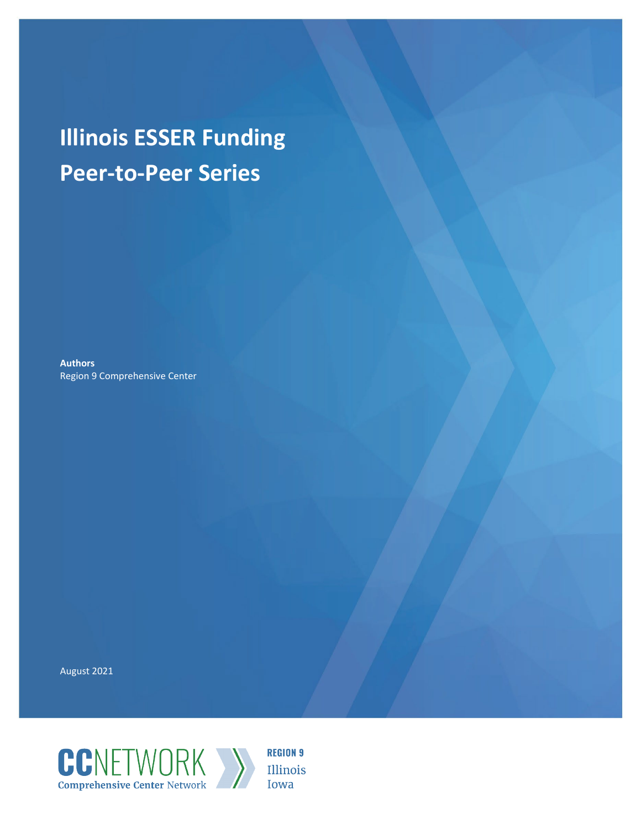# **Illinois ESSER Funding Peer-to-Peer Series**

**Authors** Region 9 Comprehensive Center

August 2021



**REGION 9** Illinois Iowa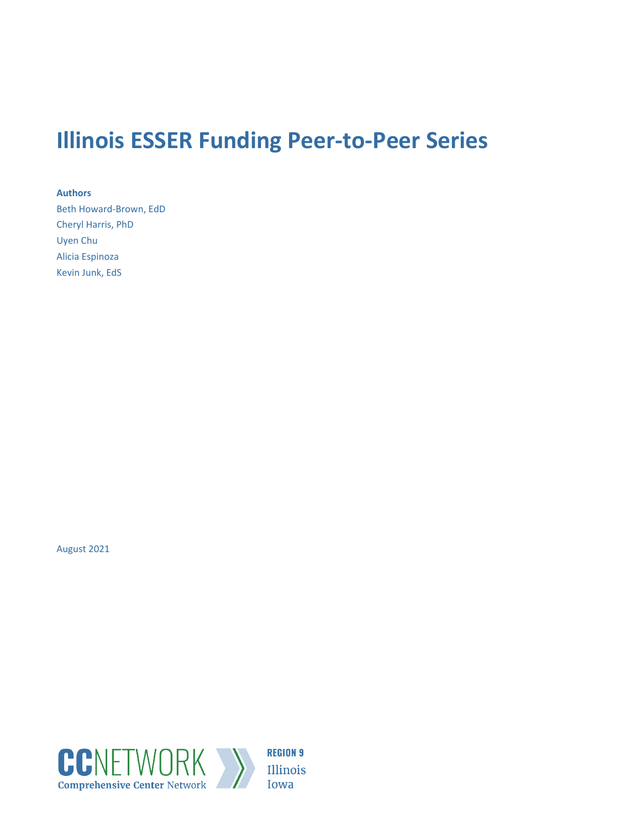## **Illinois ESSER Funding Peer-to-Peer Series**

**Authors** Beth Howard-Brown, EdD Cheryl Harris, PhD Uyen Chu Alicia Espinoza Kevin Junk, EdS

August 2021

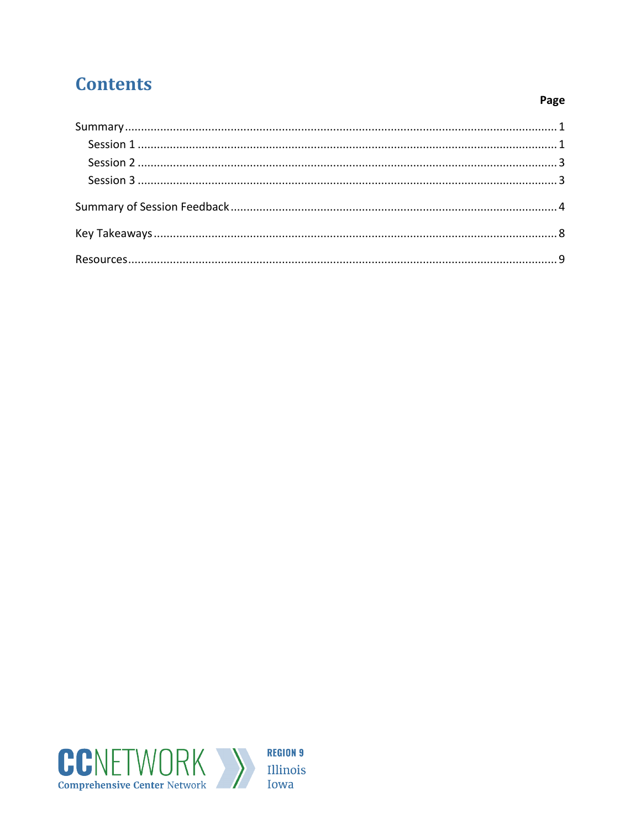### **Contents**

#### Page

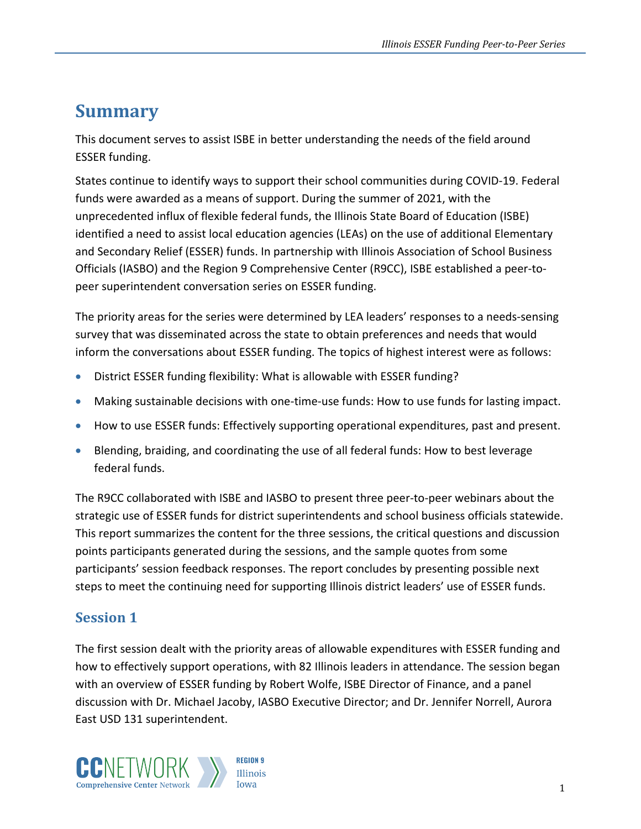### <span id="page-3-0"></span>**Summary**

This document serves to assist ISBE in better understanding the needs of the field around ESSER funding.

States continue to identify ways to support their school communities during COVID-19. Federal funds were awarded as a means of support. During the summer of 2021, with the unprecedented influx of flexible federal funds, the Illinois State Board of Education (ISBE) identified a need to assist local education agencies (LEAs) on the use of additional Elementary and Secondary Relief (ESSER) funds. In partnership with Illinois Association of School Business Officials (IASBO) and the Region 9 Comprehensive Center (R9CC), ISBE established a peer-topeer superintendent conversation series on ESSER funding.

The priority areas for the series were determined by LEA leaders' responses to a needs-sensing survey that was disseminated across the state to obtain preferences and needs that would inform the conversations about ESSER funding. The topics of highest interest were as follows:

- District ESSER funding flexibility: What is allowable with ESSER funding?
- Making sustainable decisions with one-time-use funds: How to use funds for lasting impact.
- How to use ESSER funds: Effectively supporting operational expenditures, past and present.
- Blending, braiding, and coordinating the use of all federal funds: How to best leverage federal funds.

The R9CC collaborated with ISBE and IASBO to present three peer-to-peer webinars about the strategic use of ESSER funds for district superintendents and school business officials statewide. This report summarizes the content for the three sessions, the critical questions and discussion points participants generated during the sessions, and the sample quotes from some participants' session feedback responses. The report concludes by presenting possible next steps to meet the continuing need for supporting Illinois district leaders' use of ESSER funds.

#### <span id="page-3-1"></span>**Session 1**

The first session dealt with the priority areas of allowable expenditures with ESSER funding and how to effectively support operations, with 82 Illinois leaders in attendance. The session began with an overview of ESSER funding by Robert Wolfe, ISBE Director of Finance, and a panel discussion with Dr. Michael Jacoby, IASBO Executive Director; and Dr. Jennifer Norrell, Aurora East USD 131 superintendent.

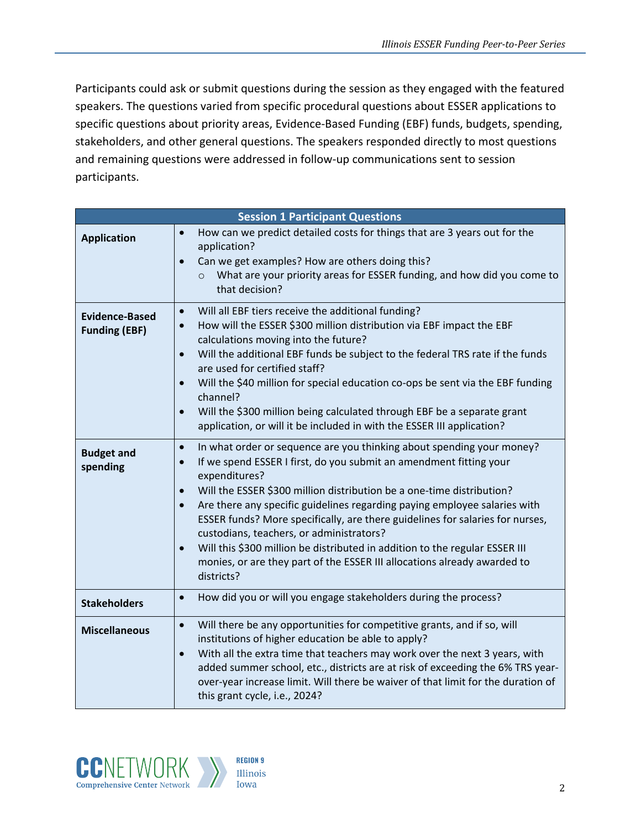Participants could ask or submit questions during the session as they engaged with the featured speakers. The questions varied from specific procedural questions about ESSER applications to specific questions about priority areas, Evidence-Based Funding (EBF) funds, budgets, spending, stakeholders, and other general questions. The speakers responded directly to most questions and remaining questions were addressed in follow-up communications sent to session participants.

| <b>Session 1 Participant Questions</b> |                                                                                                                                                                                                                                                                                                                                                                                                                                                                                                                                                                                                                                                                 |
|----------------------------------------|-----------------------------------------------------------------------------------------------------------------------------------------------------------------------------------------------------------------------------------------------------------------------------------------------------------------------------------------------------------------------------------------------------------------------------------------------------------------------------------------------------------------------------------------------------------------------------------------------------------------------------------------------------------------|
| <b>Application</b>                     | How can we predict detailed costs for things that are 3 years out for the<br>$\bullet$<br>application?<br>Can we get examples? How are others doing this?<br>$\bullet$<br>What are your priority areas for ESSER funding, and how did you come to<br>$\circ$<br>that decision?                                                                                                                                                                                                                                                                                                                                                                                  |
| Evidence-Based<br><b>Funding (EBF)</b> | Will all EBF tiers receive the additional funding?<br>$\bullet$<br>How will the ESSER \$300 million distribution via EBF impact the EBF<br>$\bullet$<br>calculations moving into the future?<br>Will the additional EBF funds be subject to the federal TRS rate if the funds<br>$\bullet$<br>are used for certified staff?<br>Will the \$40 million for special education co-ops be sent via the EBF funding<br>$\bullet$<br>channel?<br>Will the \$300 million being calculated through EBF be a separate grant<br>$\bullet$<br>application, or will it be included in with the ESSER III application?                                                        |
| <b>Budget and</b><br>spending          | In what order or sequence are you thinking about spending your money?<br>$\bullet$<br>If we spend ESSER I first, do you submit an amendment fitting your<br>expenditures?<br>Will the ESSER \$300 million distribution be a one-time distribution?<br>$\bullet$<br>Are there any specific guidelines regarding paying employee salaries with<br>$\bullet$<br>ESSER funds? More specifically, are there guidelines for salaries for nurses,<br>custodians, teachers, or administrators?<br>Will this \$300 million be distributed in addition to the regular ESSER III<br>monies, or are they part of the ESSER III allocations already awarded to<br>districts? |
| <b>Stakeholders</b>                    | How did you or will you engage stakeholders during the process?<br>$\bullet$                                                                                                                                                                                                                                                                                                                                                                                                                                                                                                                                                                                    |
| <b>Miscellaneous</b>                   | Will there be any opportunities for competitive grants, and if so, will<br>$\bullet$<br>institutions of higher education be able to apply?<br>With all the extra time that teachers may work over the next 3 years, with<br>$\bullet$<br>added summer school, etc., districts are at risk of exceeding the 6% TRS year-<br>over-year increase limit. Will there be waiver of that limit for the duration of<br>this grant cycle, i.e., 2024?                                                                                                                                                                                                                    |

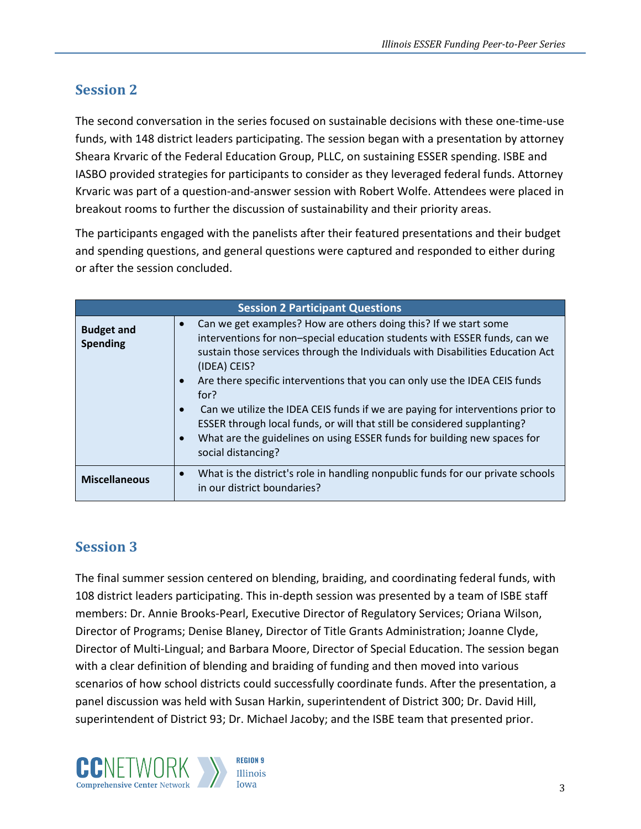#### <span id="page-5-0"></span>**Session 2**

The second conversation in the series focused on sustainable decisions with these one-time-use funds, with 148 district leaders participating. The session began with a presentation by attorney Sheara Krvaric of the Federal Education Group, PLLC, on sustaining ESSER spending. ISBE and IASBO provided strategies for participants to consider as they leveraged federal funds. Attorney Krvaric was part of a question-and-answer session with Robert Wolfe. Attendees were placed in breakout rooms to further the discussion of sustainability and their priority areas.

The participants engaged with the panelists after their featured presentations and their budget and spending questions, and general questions were captured and responded to either during or after the session concluded.

| <b>Session 2 Participant Questions</b> |                                                                                                                                                                                                                                                                                                                                                                                                                                                                                                                                                                                                                                 |
|----------------------------------------|---------------------------------------------------------------------------------------------------------------------------------------------------------------------------------------------------------------------------------------------------------------------------------------------------------------------------------------------------------------------------------------------------------------------------------------------------------------------------------------------------------------------------------------------------------------------------------------------------------------------------------|
| <b>Budget and</b><br><b>Spending</b>   | Can we get examples? How are others doing this? If we start some<br>interventions for non-special education students with ESSER funds, can we<br>sustain those services through the Individuals with Disabilities Education Act<br>(IDEA) CEIS?<br>Are there specific interventions that you can only use the IDEA CEIS funds<br>for?<br>Can we utilize the IDEA CEIS funds if we are paying for interventions prior to<br>$\bullet$<br>ESSER through local funds, or will that still be considered supplanting?<br>What are the guidelines on using ESSER funds for building new spaces for<br>$\bullet$<br>social distancing? |
| <b>Miscellaneous</b>                   | What is the district's role in handling nonpublic funds for our private schools<br>in our district boundaries?                                                                                                                                                                                                                                                                                                                                                                                                                                                                                                                  |

#### <span id="page-5-1"></span>**Session 3**

The final summer session centered on blending, braiding, and coordinating federal funds, with 108 district leaders participating. This in-depth session was presented by a team of ISBE staff members: Dr. Annie Brooks-Pearl, Executive Director of Regulatory Services; Oriana Wilson, Director of Programs; Denise Blaney, Director of Title Grants Administration; Joanne Clyde, Director of Multi-Lingual; and Barbara Moore, Director of Special Education. The session began with a clear definition of blending and braiding of funding and then moved into various scenarios of how school districts could successfully coordinate funds. After the presentation, a panel discussion was held with Susan Harkin, superintendent of District 300; Dr. David Hill, superintendent of District 93; Dr. Michael Jacoby; and the ISBE team that presented prior.

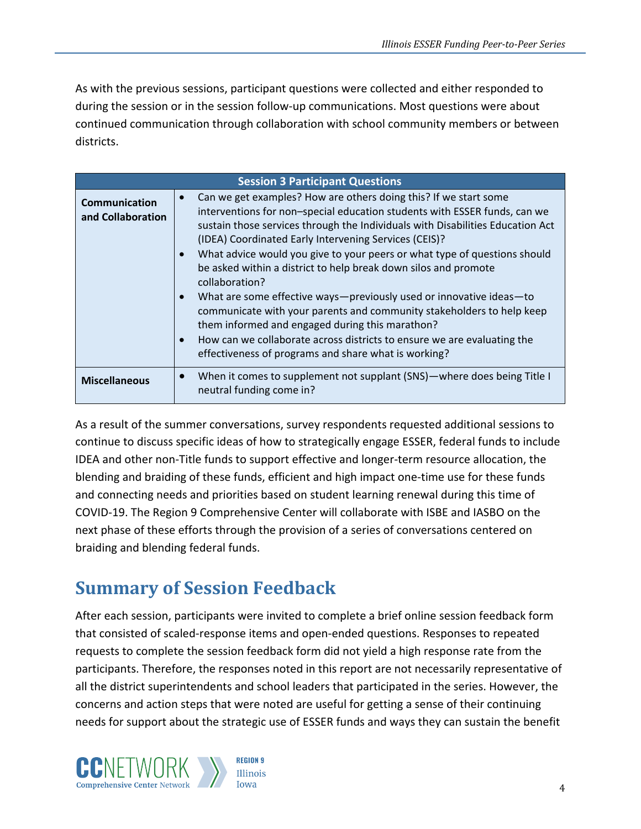As with the previous sessions, participant questions were collected and either responded to during the session or in the session follow-up communications. Most questions were about continued communication through collaboration with school community members or between districts.

| <b>Session 3 Participant Questions</b>    |                                                                                                                                                                                                                                                                                                                                                                                                                                                                                                                                                                                                                                                                                                                                                                                                  |
|-------------------------------------------|--------------------------------------------------------------------------------------------------------------------------------------------------------------------------------------------------------------------------------------------------------------------------------------------------------------------------------------------------------------------------------------------------------------------------------------------------------------------------------------------------------------------------------------------------------------------------------------------------------------------------------------------------------------------------------------------------------------------------------------------------------------------------------------------------|
| <b>Communication</b><br>and Collaboration | Can we get examples? How are others doing this? If we start some<br>interventions for non-special education students with ESSER funds, can we<br>sustain those services through the Individuals with Disabilities Education Act<br>(IDEA) Coordinated Early Intervening Services (CEIS)?<br>What advice would you give to your peers or what type of questions should<br>be asked within a district to help break down silos and promote<br>collaboration?<br>What are some effective ways-previously used or innovative ideas-to<br>communicate with your parents and community stakeholders to help keep<br>them informed and engaged during this marathon?<br>How can we collaborate across districts to ensure we are evaluating the<br>effectiveness of programs and share what is working? |
| <b>Miscellaneous</b>                      | When it comes to supplement not supplant (SNS)-where does being Title I<br>neutral funding come in?                                                                                                                                                                                                                                                                                                                                                                                                                                                                                                                                                                                                                                                                                              |

As a result of the summer conversations, survey respondents requested additional sessions to continue to discuss specific ideas of how to strategically engage ESSER, federal funds to include IDEA and other non-Title funds to support effective and longer-term resource allocation, the blending and braiding of these funds, efficient and high impact one-time use for these funds and connecting needs and priorities based on student learning renewal during this time of COVID-19. The Region 9 Comprehensive Center will collaborate with ISBE and IASBO on the next phase of these efforts through the provision of a series of conversations centered on braiding and blending federal funds.

### <span id="page-6-0"></span>**Summary of Session Feedback**

After each session, participants were invited to complete a brief online session feedback form that consisted of scaled-response items and open-ended questions. Responses to repeated requests to complete the session feedback form did not yield a high response rate from the participants. Therefore, the responses noted in this report are not necessarily representative of all the district superintendents and school leaders that participated in the series. However, the concerns and action steps that were noted are useful for getting a sense of their continuing needs for support about the strategic use of ESSER funds and ways they can sustain the benefit

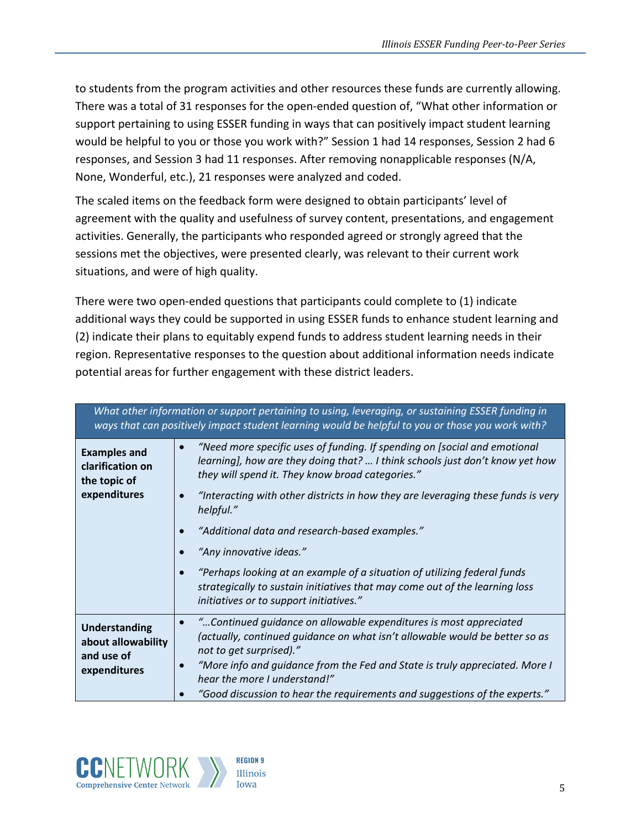to students from the program activities and other resources these funds are currently allowing. There was a total of 31 responses for the open-ended question of, "What other information or support pertaining to using ESSER funding in ways that can positively impact student learning would be helpful to you or those you work with?" Session 1 had 14 responses, Session 2 had 6 responses, and Session 3 had 11 responses. After removing nonapplicable responses (N/A, None, Wonderful, etc.), 21 responses were analyzed and coded.

The scaled items on the feedback form were designed to obtain participants' level of agreement with the quality and usefulness of survey content, presentations, and engagement activities. Generally, the participants who responded agreed or strongly agreed that the sessions met the objectives, were presented clearly, was relevant to their current work situations, and were of high quality.

There were two open-ended questions that participants could complete to (1) indicate additional ways they could be supported in using ESSER funds to enhance student learning and (2) indicate their plans to equitably expend funds to address student learning needs in their region. Representative responses to the question about additional information needs indicate potential areas for further engagement with these district leaders.

| What other information or support pertaining to using, leveraging, or sustaining ESSER funding in<br>ways that can positively impact student learning would be helpful to you or those you work with? |                                                                                                                                                                                                                                                            |
|-------------------------------------------------------------------------------------------------------------------------------------------------------------------------------------------------------|------------------------------------------------------------------------------------------------------------------------------------------------------------------------------------------------------------------------------------------------------------|
| <b>Examples and</b><br>clarification on<br>the topic of<br>expenditures                                                                                                                               | "Need more specific uses of funding. If spending on [social and emotional<br>learning], how are they doing that?  I think schools just don't know yet how<br>they will spend it. They know broad categories."                                              |
|                                                                                                                                                                                                       | "Interacting with other districts in how they are leveraging these funds is very<br>helpful."                                                                                                                                                              |
|                                                                                                                                                                                                       | "Additional data and research-based examples."                                                                                                                                                                                                             |
|                                                                                                                                                                                                       | "Any innovative ideas."                                                                                                                                                                                                                                    |
|                                                                                                                                                                                                       | "Perhaps looking at an example of a situation of utilizing federal funds<br>strategically to sustain initiatives that may come out of the learning loss<br>initiatives or to support initiatives."                                                         |
| <b>Understanding</b><br>about allowability<br>and use of<br>expenditures                                                                                                                              | "Continued quidance on allowable expenditures is most appreciated<br>(actually, continued quidance on what isn't allowable would be better so as<br>not to get surprised)."<br>"More info and guidance from the Fed and State is truly appreciated. More I |
|                                                                                                                                                                                                       | hear the more I understand!"                                                                                                                                                                                                                               |
|                                                                                                                                                                                                       | "Good discussion to hear the requirements and suggestions of the experts."                                                                                                                                                                                 |

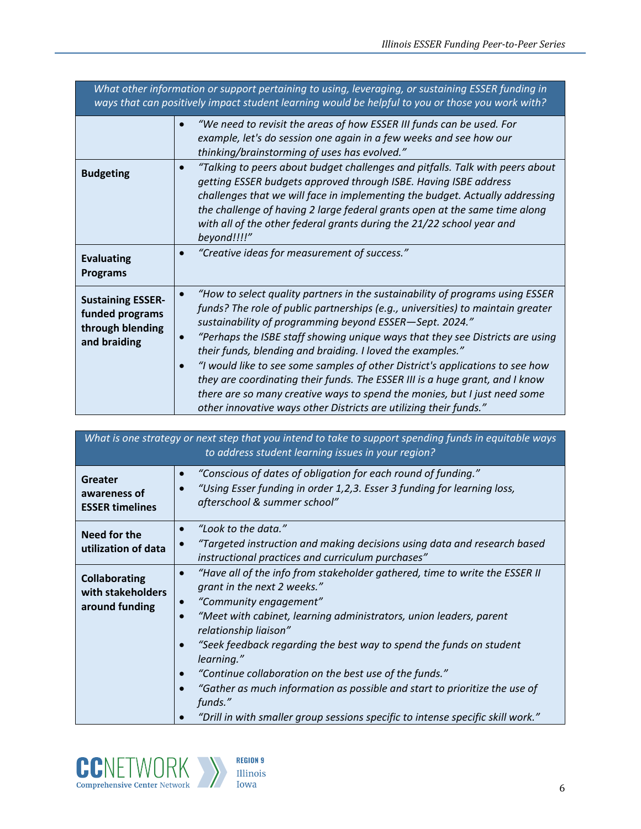| What other information or support pertaining to using, leveraging, or sustaining ESSER funding in<br>ways that can positively impact student learning would be helpful to you or those you work with? |                                                                                                                                                                                                                                                                                                                                                                                                                                                                                                                                                                                                                                                                                               |
|-------------------------------------------------------------------------------------------------------------------------------------------------------------------------------------------------------|-----------------------------------------------------------------------------------------------------------------------------------------------------------------------------------------------------------------------------------------------------------------------------------------------------------------------------------------------------------------------------------------------------------------------------------------------------------------------------------------------------------------------------------------------------------------------------------------------------------------------------------------------------------------------------------------------|
|                                                                                                                                                                                                       | "We need to revisit the areas of how ESSER III funds can be used. For<br>example, let's do session one again in a few weeks and see how our<br>thinking/brainstorming of uses has evolved."                                                                                                                                                                                                                                                                                                                                                                                                                                                                                                   |
| <b>Budgeting</b>                                                                                                                                                                                      | "Talking to peers about budget challenges and pitfalls. Talk with peers about<br>getting ESSER budgets approved through ISBE. Having ISBE address<br>challenges that we will face in implementing the budget. Actually addressing<br>the challenge of having 2 large federal grants open at the same time along<br>with all of the other federal grants during the 21/22 school year and<br>beyond!!!!"                                                                                                                                                                                                                                                                                       |
| <b>Evaluating</b><br><b>Programs</b>                                                                                                                                                                  | "Creative ideas for measurement of success."                                                                                                                                                                                                                                                                                                                                                                                                                                                                                                                                                                                                                                                  |
| <b>Sustaining ESSER-</b><br>funded programs<br>through blending<br>and braiding                                                                                                                       | "How to select quality partners in the sustainability of programs using ESSER<br>funds? The role of public partnerships (e.g., universities) to maintain greater<br>sustainability of programming beyond ESSER-Sept. 2024."<br>"Perhaps the ISBE staff showing unique ways that they see Districts are using<br>their funds, blending and braiding. I loved the examples."<br>"I would like to see some samples of other District's applications to see how<br>they are coordinating their funds. The ESSER III is a huge grant, and I know<br>there are so many creative ways to spend the monies, but I just need some<br>other innovative ways other Districts are utilizing their funds." |

| What is one strategy or next step that you intend to take to support spending funds in equitable ways<br>to address student learning issues in your region? |                                                                                                                                                                                                                                                                                                                                                                                                                                                                                                                                                                                          |
|-------------------------------------------------------------------------------------------------------------------------------------------------------------|------------------------------------------------------------------------------------------------------------------------------------------------------------------------------------------------------------------------------------------------------------------------------------------------------------------------------------------------------------------------------------------------------------------------------------------------------------------------------------------------------------------------------------------------------------------------------------------|
| <b>Greater</b><br>awareness of<br><b>ESSER timelines</b>                                                                                                    | "Conscious of dates of obligation for each round of funding."<br>"Using Esser funding in order 1,2,3. Esser 3 funding for learning loss,<br>afterschool & summer school"                                                                                                                                                                                                                                                                                                                                                                                                                 |
| Need for the<br>utilization of data                                                                                                                         | "Look to the data."<br>$\bullet$<br>"Targeted instruction and making decisions using data and research based<br>instructional practices and curriculum purchases"                                                                                                                                                                                                                                                                                                                                                                                                                        |
| <b>Collaborating</b><br>with stakeholders<br>around funding                                                                                                 | "Have all of the info from stakeholder gathered, time to write the ESSER II<br>$\bullet$<br>grant in the next 2 weeks."<br>"Community engagement"<br>$\bullet$<br>"Meet with cabinet, learning administrators, union leaders, parent<br>relationship liaison"<br>"Seek feedback regarding the best way to spend the funds on student<br>learning."<br>"Continue collaboration on the best use of the funds."<br>"Gather as much information as possible and start to prioritize the use of<br>funds."<br>"Drill in with smaller group sessions specific to intense specific skill work." |

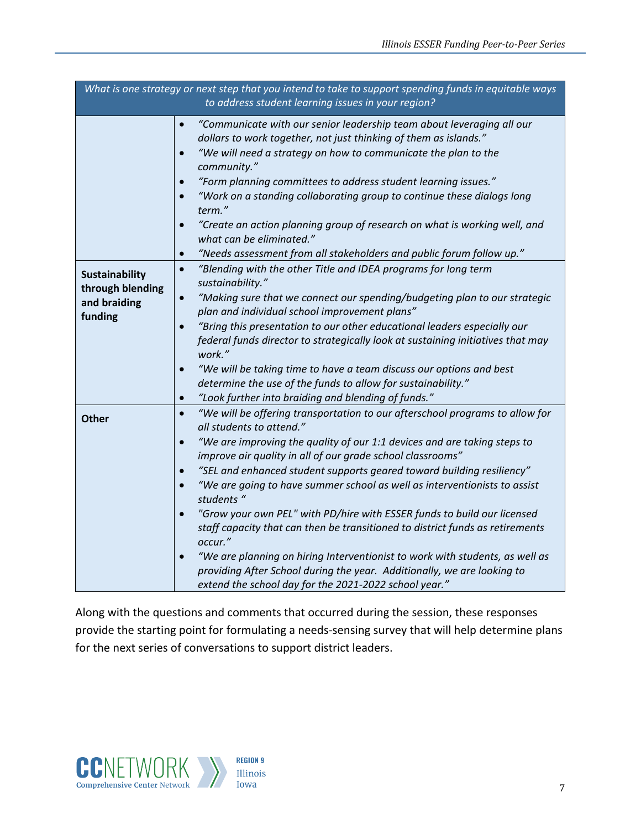| What is one strategy or next step that you intend to take to support spending funds in equitable ways<br>to address student learning issues in your region? |                                                                                                                                                                                                                                                                                                                                                                                                                                                                                                                                                                                                                                                                                                                                                                                                                                                                                                 |
|-------------------------------------------------------------------------------------------------------------------------------------------------------------|-------------------------------------------------------------------------------------------------------------------------------------------------------------------------------------------------------------------------------------------------------------------------------------------------------------------------------------------------------------------------------------------------------------------------------------------------------------------------------------------------------------------------------------------------------------------------------------------------------------------------------------------------------------------------------------------------------------------------------------------------------------------------------------------------------------------------------------------------------------------------------------------------|
|                                                                                                                                                             | "Communicate with our senior leadership team about leveraging all our<br>$\bullet$<br>dollars to work together, not just thinking of them as islands."<br>"We will need a strategy on how to communicate the plan to the<br>$\bullet$<br>community."<br>"Form planning committees to address student learning issues."<br>$\bullet$<br>"Work on a standing collaborating group to continue these dialogs long<br>$\bullet$<br>term."<br>"Create an action planning group of research on what is working well, and<br>$\bullet$<br>what can be eliminated."<br>"Needs assessment from all stakeholders and public forum follow up."<br>$\bullet$                                                                                                                                                                                                                                                 |
| <b>Sustainability</b><br>through blending<br>and braiding<br>funding                                                                                        | "Blending with the other Title and IDEA programs for long term<br>$\bullet$<br>sustainability."<br>$\bullet$<br>"Making sure that we connect our spending/budgeting plan to our strategic<br>plan and individual school improvement plans"<br>"Bring this presentation to our other educational leaders especially our<br>$\bullet$<br>federal funds director to strategically look at sustaining initiatives that may<br>work."<br>"We will be taking time to have a team discuss our options and best<br>$\bullet$<br>determine the use of the funds to allow for sustainability."<br>"Look further into braiding and blending of funds."<br>$\bullet$                                                                                                                                                                                                                                        |
| <b>Other</b>                                                                                                                                                | "We will be offering transportation to our afterschool programs to allow for<br>$\bullet$<br>all students to attend."<br>"We are improving the quality of our 1:1 devices and are taking steps to<br>$\bullet$<br>improve air quality in all of our grade school classrooms"<br>"SEL and enhanced student supports geared toward building resiliency"<br>$\bullet$<br>"We are going to have summer school as well as interventionists to assist<br>$\bullet$<br>students "<br>"Grow your own PEL" with PD/hire with ESSER funds to build our licensed<br>$\bullet$<br>staff capacity that can then be transitioned to district funds as retirements<br>occur."<br>"We are planning on hiring Interventionist to work with students, as well as<br>$\bullet$<br>providing After School during the year. Additionally, we are looking to<br>extend the school day for the 2021-2022 school year." |

Along with the questions and comments that occurred during the session, these responses provide the starting point for formulating a needs-sensing survey that will help determine plans for the next series of conversations to support district leaders.

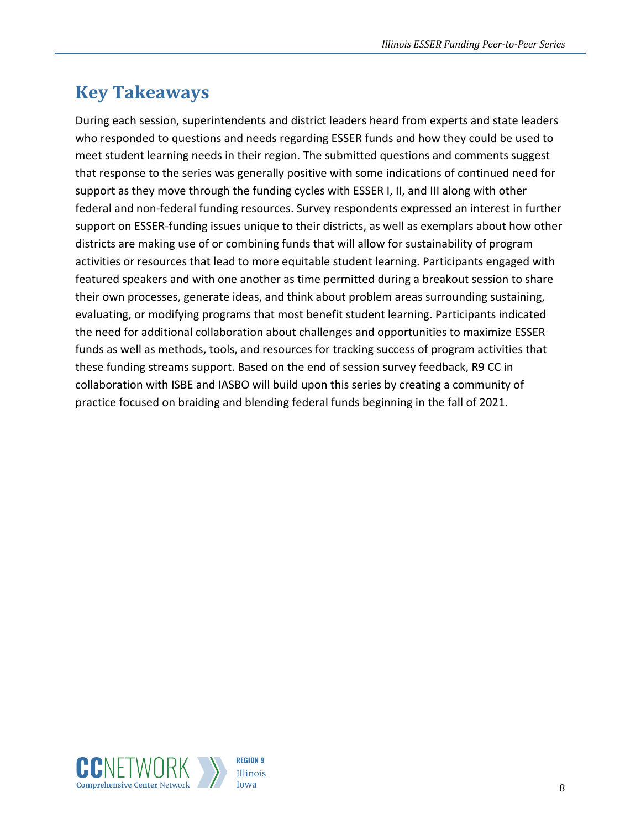### <span id="page-10-0"></span>**Key Takeaways**

During each session, superintendents and district leaders heard from experts and state leaders who responded to questions and needs regarding ESSER funds and how they could be used to meet student learning needs in their region. The submitted questions and comments suggest that response to the series was generally positive with some indications of continued need for support as they move through the funding cycles with ESSER I, II, and III along with other federal and non-federal funding resources. Survey respondents expressed an interest in further support on ESSER-funding issues unique to their districts, as well as exemplars about how other districts are making use of or combining funds that will allow for sustainability of program activities or resources that lead to more equitable student learning. Participants engaged with featured speakers and with one another as time permitted during a breakout session to share their own processes, generate ideas, and think about problem areas surrounding sustaining, evaluating, or modifying programs that most benefit student learning. Participants indicated the need for additional collaboration about challenges and opportunities to maximize ESSER funds as well as methods, tools, and resources for tracking success of program activities that these funding streams support. Based on the end of session survey feedback, R9 CC in collaboration with ISBE and IASBO will build upon this series by creating a community of practice focused on braiding and blending federal funds beginning in the fall of 2021.

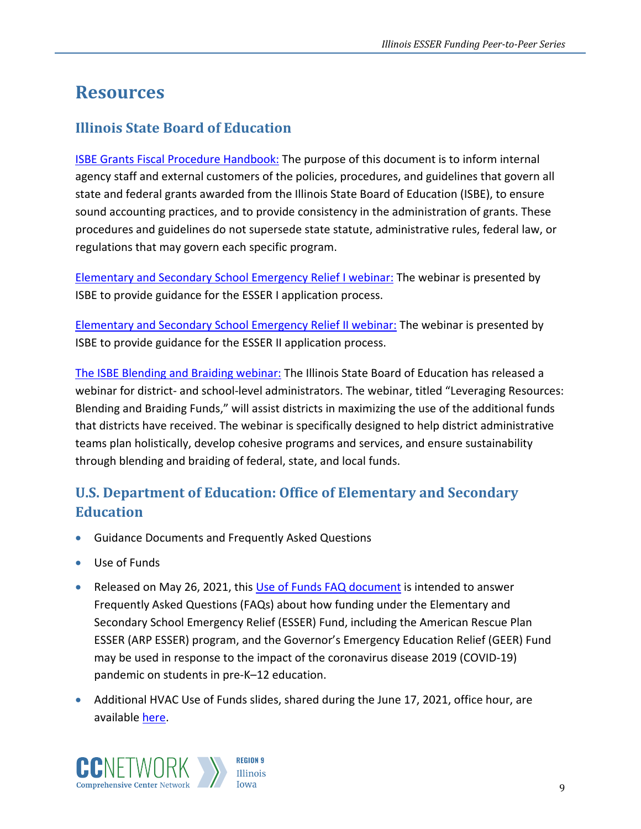### <span id="page-11-0"></span>**Resources**

#### **Illinois State Board of Education**

[ISBE Grants Fiscal Procedure Handbook:](https://www.isbe.net/Documents/fiscal_procedure_handbk.pdf) The purpose of this document is to inform internal agency staff and external customers of the policies, procedures, and guidelines that govern all state and federal grants awarded from the Illinois State Board of Education (ISBE), to ensure sound accounting practices, and to provide consistency in the administration of grants. These procedures and guidelines do not supersede state statute, administrative rules, federal law, or regulations that may govern each specific program.

[Elementary and Secondary School Emergency Relief I webinar:](https://register.gotowebinar.com/recording/1214737554854043139) The webinar is presented by ISBE to provide guidance for the ESSER I application process.

[Elementary and Secondary School Emergency Relief II webinar:](https://register.gotowebinar.com/recording/1214737554854043139) The webinar is presented by ISBE to provide guidance for the ESSER II application process.

[The ISBE Blending and Braiding webinar:](https://nam10.safelinks.protection.outlook.com/?url=https%3A%2F%2Fregister.gotowebinar.com%2Frecording%2F2291481604016137218&data=04%7C01%7Cbhoward-brown%40air.org%7C1b85a8e8c31a4a66080108d93c08363c%7C9ea45dbc7b724abfa77cc770a0a8b962%7C0%7C0%7C637606828841593124%7CUnknown%7CTWFpbGZsb3d8eyJWIjoiMC4wLjAwMDAiLCJQIjoiV2luMzIiLCJBTiI6Ik1haWwiLCJXVCI6Mn0%3D%7C0&sdata=aSLTxh55zVQIlodANHcjf%2Fu0LRI%2F5zZz91PwVNnElpE%3D&reserved=0) The Illinois State Board of Education has released a webinar for district- and school-level administrators. The webinar, titled "Leveraging Resources: Blending and Braiding Funds," will assist districts in maximizing the use of the additional funds that districts have received. The webinar is specifically designed to help district administrative teams plan holistically, develop cohesive programs and services, and ensure sustainability through blending and braiding of federal, state, and local funds.

### **U.S. Department of Education: Office of Elementary and Secondary Education**

- Guidance Documents and Frequently Asked Questions
- Use of Funds
- Released on May 26, 2021, this [Use of Funds FAQ document](https://oese.ed.gov/files/2021/05/ESSER.GEER_.FAQs_5.26.21_745AM_FINALb0cd6833f6f46e03ba2d97d30aff953260028045f9ef3b18ea602db4b32b1d99.pdf) is intended to answer Frequently Asked Questions (FAQs) about how funding under the Elementary and Secondary School Emergency Relief (ESSER) Fund, including the American Rescue Plan ESSER (ARP ESSER) program, and the Governor's Emergency Education Relief (GEER) Fund may be used in response to the impact of the coronavirus disease 2019 (COVID-19) pandemic on students in pre-K–12 education.
- Additional HVAC Use of Funds slides, shared during the June 17, 2021, office hour, are available [here.](https://oese.ed.gov/files/2021/06/HVAC_Use-of-funds-F06-17-2021.pdf)

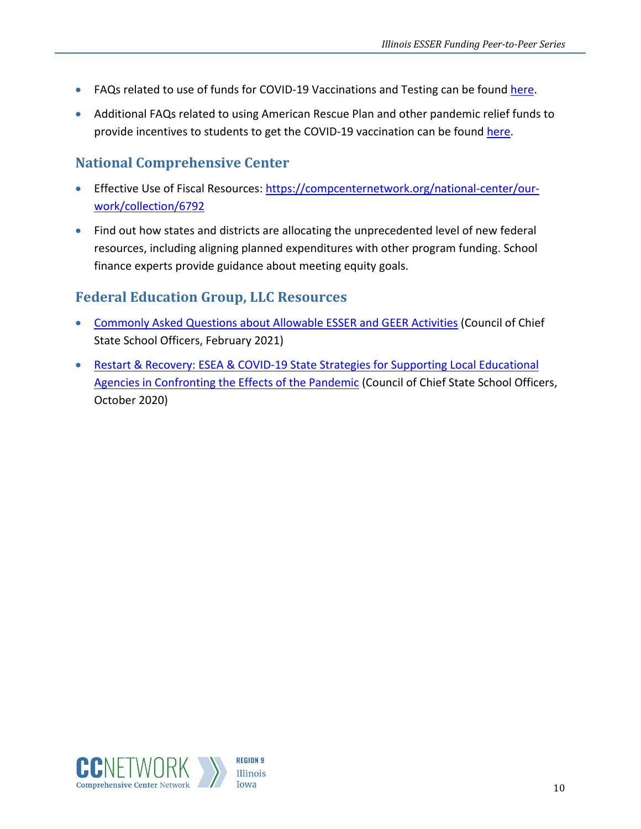- FAQs related to use of funds for COVID-19 Vaccinations and Testing can be found [here.](https://oese.ed.gov/files/2021/07/FAQ-11.pdf)
- Additional FAQs related to using American Rescue Plan and other pandemic relief funds to provide incentives to students to get the COVID-19 vaccination can be found [here.](https://oese.ed.gov/files/2021/07/FAQ-21.pdf)

### **National Comprehensive Center**

- Effective Use of Fiscal Resources: [https://compcenternetwork.org/national-center/our](https://compcenternetwork.org/national-center/our-work/collection/6792)[work/collection/6792](https://compcenternetwork.org/national-center/our-work/collection/6792)
- Find out how states and districts are allocating the unprecedented level of new federal resources, including aligning planned expenditures with other program funding. School finance experts provide guidance about meeting equity goals.

#### **Federal Education Group, LLC Resources**

- [Commonly Asked Questions about Allowable ESSER and GEER Activities](https://www.fededgroup.com/s/CCSSO-Common-Use-of-Funds-Questions-for-ESSER-and-GEER-22521_.pdf) (Council of Chief State School Officers, February 2021)
- [Restart & Recovery: ESEA & COVID-19 State Strategies for Supporting Local Educational](https://ccsso.org/sites/default/files/2020-10/CCSSO_RR_ESEA-v2%20FINAL_0.pdf)  [Agencies in Confronting the Effects of the Pandemic](https://ccsso.org/sites/default/files/2020-10/CCSSO_RR_ESEA-v2%20FINAL_0.pdf) (Council of Chief State School Officers, October 2020)



10